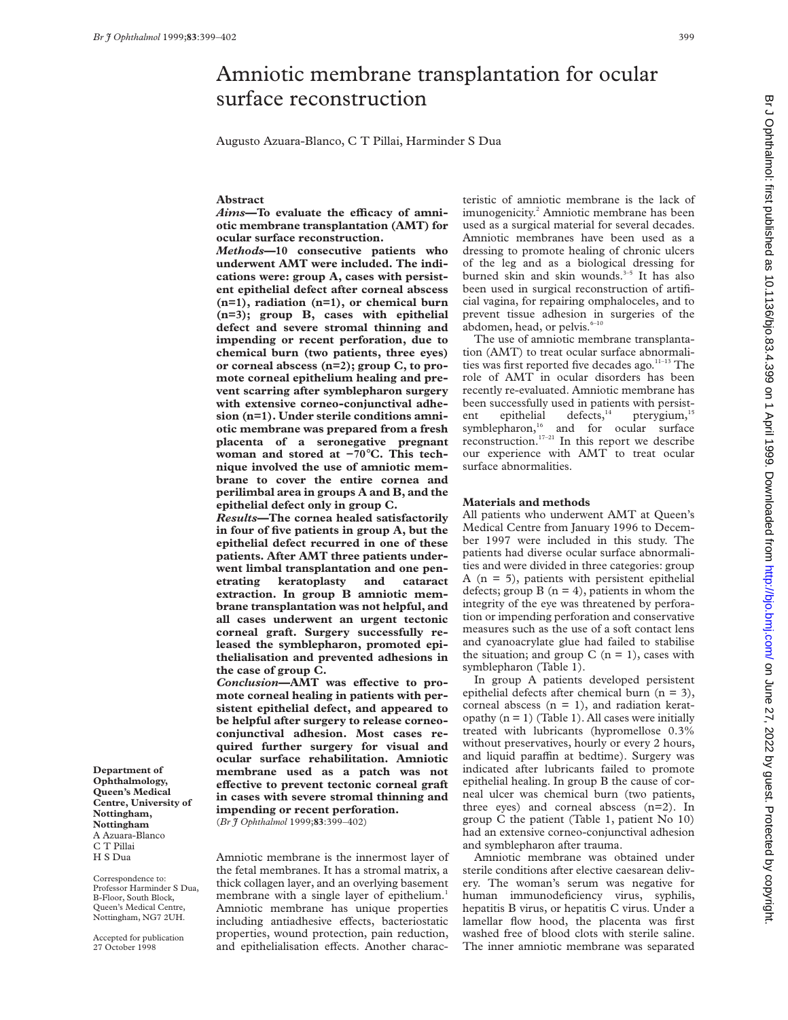Augusto Azuara-Blanco, C T Pillai, Harminder S Dua

## **Abstract**

Aims-To evaluate the efficacy of amni**otic membrane transplantation (AMT) for ocular surface reconstruction.**

*Methods***—10 consecutive patients who underwent AMT were included. The indications were: group A, cases with persistent epithelial defect after corneal abscess (n=1), radiation (n=1), or chemical burn (n=3); group B, cases with epithelial defect and severe stromal thinning and impending or recent perforation, due to chemical burn (two patients, three eyes) or corneal abscess (n=2); group C, to promote corneal epithelium healing and prevent scarring after symblepharon surgery with extensive corneo-conjunctival adhesion (n=1). Under sterile conditions amniotic membrane was prepared from a fresh placenta of a seronegative pregnant woman and stored at −70**°**C. This technique involved the use of amniotic membrane to cover the entire cornea and perilimbal area in groups A and B, and the epithelial defect only in group C.**

*Results***—The cornea healed satisfactorily in four of five patients in group A, but the epithelial defect recurred in one of these patients. After AMT three patients underwent limbal transplantation and one penetrating keratoplasty and cataract extraction. In group B amniotic membrane transplantation was not helpful, and all cases underwent an urgent tectonic corneal graft. Surgery successfully released the symblepharon, promoted epithelialisation and prevented adhesions in the case of group C.**

Conclusion-AMT was effective to pro**mote corneal healing in patients with persistent epithelial defect, and appeared to be helpful after surgery to release corneoconjunctival adhesion. Most cases required further surgery for visual and ocular surface rehabilitation. Amniotic membrane used as a patch was not effective to prevent tectonic corneal graft in cases with severe stromal thinning and impending or recent perforation.**

(*Br J Ophthalmol* 1999;**83**:399–402)

Amniotic membrane is the innermost layer of the fetal membranes. It has a stromal matrix, a thick collagen layer, and an overlying basement membrane with a single layer of epithelium.<sup>1</sup> Amniotic membrane has unique properties including antiadhesive effects, bacteriostatic properties, wound protection, pain reduction, and epithelialisation effects. Another characteristic of amniotic membrane is the lack of imunogenicity.<sup>2</sup> Amniotic membrane has been used as a surgical material for several decades. Amniotic membranes have been used as a dressing to promote healing of chronic ulcers of the leg and as a biological dressing for burned skin and skin wounds.<sup>3-5</sup> It has also been used in surgical reconstruction of artificial vagina, for repairing omphaloceles, and to prevent tissue adhesion in surgeries of the abdomen, head, or pelvis.<sup>6-10</sup>

The use of amniotic membrane transplantation (AMT) to treat ocular surface abnormalities was first reported five decades ago.<sup>11-13</sup> The role of AMT in ocular disorders has been recently re-evaluated. Amniotic membrane has been successfully used in patients with persistent epithelial defects,<sup>14</sup> pterygium,<sup>15</sup> symblepharon,<sup>16</sup> and for ocular surface reconstruction.<sup>17–21</sup> In this report we describe our experience with AMT to treat ocular surface abnormalities.

## **Materials and methods**

All patients who underwent AMT at Queen's Medical Centre from January 1996 to December 1997 were included in this study. The patients had diverse ocular surface abnormalities and were divided in three categories: group A  $(n = 5)$ , patients with persistent epithelial defects; group  $B(n = 4)$ , patients in whom the integrity of the eye was threatened by perforation or impending perforation and conservative measures such as the use of a soft contact lens and cyanoacrylate glue had failed to stabilise the situation; and group  $C$  (n = 1), cases with symblepharon (Table 1).

In group A patients developed persistent epithelial defects after chemical burn (n = 3), corneal abscess  $(n = 1)$ , and radiation keratopathy  $(n = 1)$  (Table 1). All cases were initially treated with lubricants (hypromellose 0.3% without preservatives, hourly or every 2 hours, and liquid paraffin at bedtime). Surgery was indicated after lubricants failed to promote epithelial healing. In group B the cause of corneal ulcer was chemical burn (two patients, three eyes) and corneal abscess (n=2). In group C the patient (Table 1, patient No 10) had an extensive corneo-conjunctival adhesion and symblepharon after trauma.

Amniotic membrane was obtained under sterile conditions after elective caesarean delivery. The woman's serum was negative for human immunodeficiency virus, syphilis, hepatitis B virus, or hepatitis C virus. Under a lamellar flow hood, the placenta was first washed free of blood clots with sterile saline. The inner amniotic membrane was separated

**Department of Ophthalmology, Queen's Medical Centre, University of Nottingham, Nottingham** A Azuara-Blanco C T Pillai H S Dua

Correspondence to: Professor Harminder S Dua, B-Floor, South Block, Queen's Medical Centre, Nottingham, NG7 2UH.

Accepted for publication 27 October 1998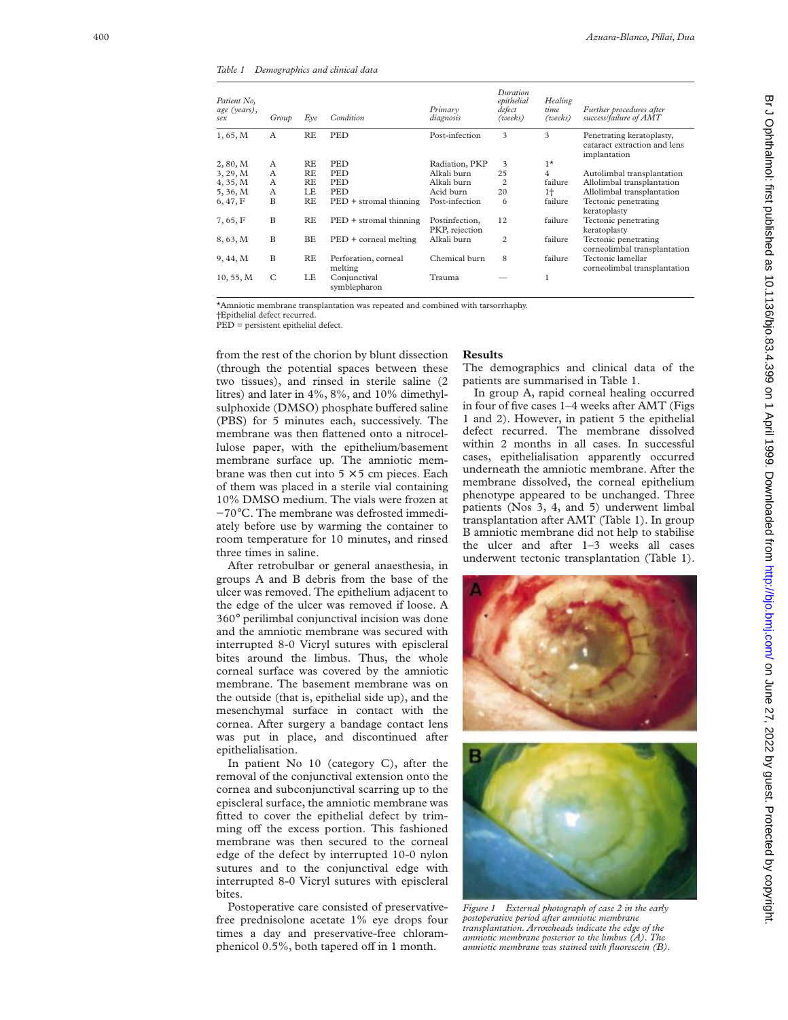*Table 1 Demographics and clinical data*

| Patient No.<br>age (years),<br>sex | Group | Eve | Condition                       | Primary<br>diagnosis             | Duration<br>epithelial<br>defect<br>(weeks) | Healing<br>time<br>(weeks) | Further procedures after<br>success/failure of AMT                        |
|------------------------------------|-------|-----|---------------------------------|----------------------------------|---------------------------------------------|----------------------------|---------------------------------------------------------------------------|
| 1, 65, M                           | A     | RE  | <b>PED</b>                      | Post-infection                   | 3                                           | 3                          | Penetrating keratoplasty,<br>cataract extraction and lens<br>implantation |
| 2, 80, M                           | A     | RE  | PED                             | Radiation, PKP                   | 3                                           | $1^{\star}$                |                                                                           |
| 3, 29, M                           | A     | RE  | <b>PED</b>                      | Alkali burn                      | 25                                          | 4                          | Autolimbal transplantation                                                |
| 4, 35, M                           | A     | RE  | <b>PED</b>                      | Alkali burn                      | $\overline{c}$                              | failure                    | Allolimbal transplantation                                                |
| 5, 36, M                           | A     | LE  | <b>PED</b>                      | Acid burn                        | 20                                          | $1+$                       | Allolimbal transplantation                                                |
| 6, 47, F                           | B     | RE  | $PED +$ stromal thinning        | Post-infection                   | 6                                           | failure                    | Tectonic penetrating<br>keratoplasty                                      |
| 7,65, F                            | B     | RE  | $PED +$ stromal thinning        | Postinfection,<br>PKP, rejection | 12                                          | failure                    | Tectonic penetrating<br>keratoplasty                                      |
| 8, 63, M                           | B     | ВE  | PED + corneal melting           | Alkali burn                      | $\overline{c}$                              | failure                    | Tectonic penetrating<br>corneolimbal transplantation                      |
| 9, 44, M                           | B     | RE  | Perforation, corneal<br>melting | Chemical burn                    | 8                                           | failure                    | Tectonic lamellar<br>corneolimbal transplantation                         |
| 10, 55, M                          | C     | LE  | Conjunctival<br>symblepharon    | Trauma                           |                                             |                            |                                                                           |

\*Amniotic membrane transplantation was repeated and combined with tarsorrhaphy.

†Epithelial defect recurred.

PED = persistent epithelial defect.

from the rest of the chorion by blunt dissection (through the potential spaces between these two tissues), and rinsed in sterile saline (2 litres) and later in 4%, 8%, and 10% dimethylsulphoxide (DMSO) phosphate buffered saline (PBS) for 5 minutes each, successively. The membrane was then flattened onto a nitrocellulose paper, with the epithelium/basement membrane surface up. The amniotic membrane was then cut into  $5 \times 5$  cm pieces. Each of them was placed in a sterile vial containing 10% DMSO medium. The vials were frozen at −70 °C. The membrane was defrosted immediately before use by warming the container to room temperature for 10 minutes, and rinsed three times in saline.

After retrobulbar or general anaesthesia, in groups A and B debris from the base of the ulcer was removed. The epithelium adjacent to the edge of the ulcer was removed if loose. A 360 ° perilimbal conjunctival incision was done and the amniotic membrane was secured with interrupted 8-0 Vicryl sutures with episcleral bites around the limbus. Thus, the whole corneal surface was covered by the amniotic membrane. The basement membrane was on the outside (that is, epithelial side up), and the mesenchymal surface in contact with the cornea. After surgery a bandage contact lens was put in place, and discontinued after epithelialisation.

In patient No 10 (category C), after the removal of the conjunctival extension onto the cornea and subconjunctival scarring up to the episcleral surface, the amniotic membrane was fitted to cover the epithelial defect by trimming off the excess portion. This fashioned membrane was then secured to the corneal edge of the defect by interrupted 10-0 nylon sutures and to the conjunctival edge with interrupted 8-0 Vicryl sutures with episcleral bites.

Postoperative care consisted of preservativefree prednisolone acetate 1% eye drops four times a day and preservative-free chloramphenicol 0.5%, both tapered off in 1 month.

## **Results**

The demographics and clinical data of the patients are summarised in Table 1.

In group A, rapid corneal healing occurred in four of five cases 1–4 weeks after AMT (Figs 1 and 2). However, in patient 5 the epithelial defect recurred. The membrane dissolved within 2 months in all cases. In successful cases, epithelialisation apparently occurred underneath the amniotic membrane. After the membrane dissolved, the corneal epithelium phenotype appeared to be unchanged. Three patients (Nos 3, 4, and 5) underwent limbal transplantation after AMT (Table 1). In group B amniotic membrane did not help to stabilise the ulcer and after 1–3 weeks all cases underwent tectonic transplantation (Table 1).





*Figure 1 External photograph of case 2 in the early postoperative period after amniotic membrane transplantation. Arrowheads indicate the edge of the amniotic membrane posterior to the limbus (A). The amniotic membrane was stained with fluorescein (B).*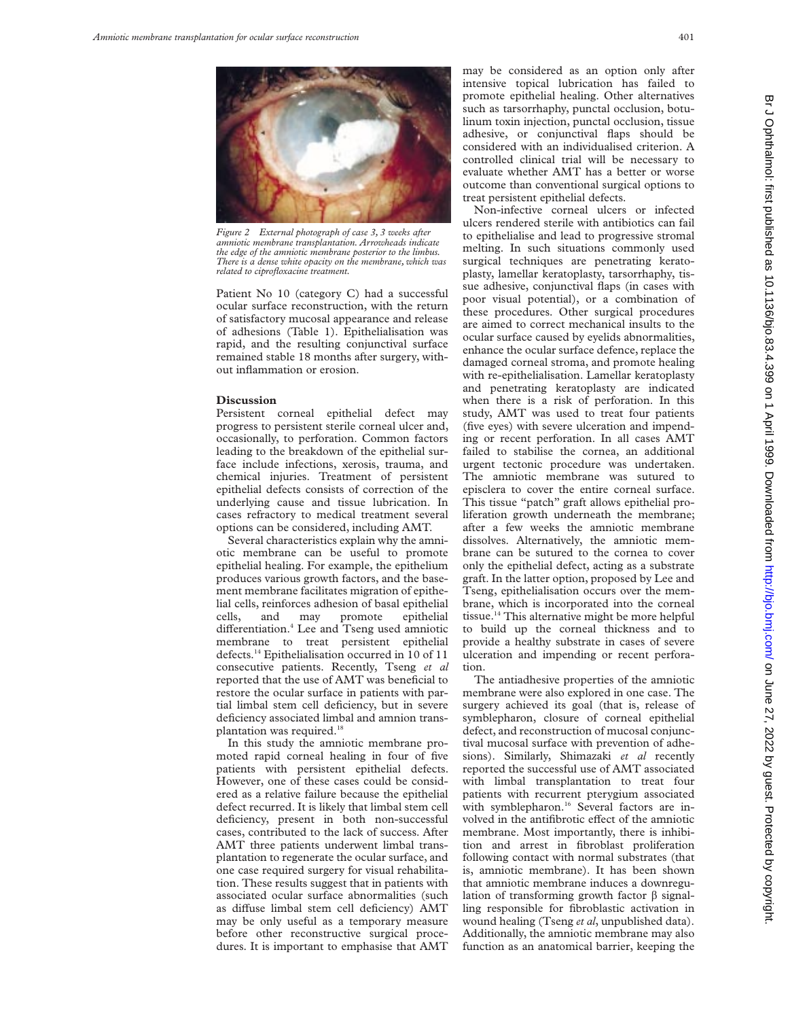

*Figure 2 External photograph of case 3, 3 weeks after amniotic membrane transplantation. Arrowheads indicate the edge of the amniotic membrane posterior to the limbus. There is a dense white opacity on the membrane, which was related to ciprofloxacine treatment.*

Patient No 10 (category C) had a successful ocular surface reconstruction, with the return of satisfactory mucosal appearance and release of adhesions (Table 1). Epithelialisation was rapid, and the resulting conjunctival surface remained stable 18 months after surgery, without inflammation or erosion.

## **Discussion**

Persistent corneal epithelial defect may progress to persistent sterile corneal ulcer and, occasionally, to perforation. Common factors leading to the breakdown of the epithelial surface include infections, xerosis, trauma, and chemical injuries. Treatment of persistent epithelial defects consists of correction of the underlying cause and tissue lubrication. In cases refractory to medical treatment several options can be considered, including AMT.

Several characteristics explain why the amniotic membrane can be useful to promote epithelial healing. For example, the epithelium produces various growth factors, and the basement membrane facilitates migration of epithelial cells, reinforces adhesion of basal epithelial cells, and may promote epithelial differentiation.<sup>4</sup> Lee and Tseng used amniotic membrane to treat persistent epithelial defects.14 Epithelialisation occurred in 10 of 11 consecutive patients. Recently, Tseng *et al* reported that the use of AMT was beneficial to restore the ocular surface in patients with partial limbal stem cell deficiency, but in severe deficiency associated limbal and amnion transplantation was required.<sup>18</sup>

In this study the amniotic membrane promoted rapid corneal healing in four of five patients with persistent epithelial defects. However, one of these cases could be considered as a relative failure because the epithelial defect recurred. It is likely that limbal stem cell deficiency, present in both non-successful cases, contributed to the lack of success. After AMT three patients underwent limbal transplantation to regenerate the ocular surface, and one case required surgery for visual rehabilitation. These results suggest that in patients with associated ocular surface abnormalities (such as diffuse limbal stem cell deficiency) AMT may be only useful as a temporary measure before other reconstructive surgical procedures. It is important to emphasise that AMT

may be considered as an option only after intensive topical lubrication has failed to promote epithelial healing. Other alternatives such as tarsorrhaphy, punctal occlusion, botulinum toxin injection, punctal occlusion, tissue adhesive, or conjunctival flaps should be considered with an individualised criterion. A controlled clinical trial will be necessary to evaluate whether AMT has a better or worse outcome than conventional surgical options to treat persistent epithelial defects.

Non-infective corneal ulcers or infected ulcers rendered sterile with antibiotics can fail to epithelialise and lead to progressive stromal melting. In such situations commonly used surgical techniques are penetrating keratoplasty, lamellar keratoplasty, tarsorrhaphy, tissue adhesive, conjunctival flaps (in cases with poor visual potential), or a combination of these procedures. Other surgical procedures are aimed to correct mechanical insults to the ocular surface caused by eyelids abnormalities, enhance the ocular surface defence, replace the damaged corneal stroma, and promote healing with re-epithelialisation. Lamellar keratoplasty and penetrating keratoplasty are indicated when there is a risk of perforation. In this study, AMT was used to treat four patients (five eyes) with severe ulceration and impending or recent perforation. In all cases AMT failed to stabilise the cornea, an additional urgent tectonic procedure was undertaken. The amniotic membrane was sutured to episclera to cover the entire corneal surface. This tissue "patch" graft allows epithelial proliferation growth underneath the membrane; after a few weeks the amniotic membrane dissolves. Alternatively, the amniotic membrane can be sutured to the cornea to cover only the epithelial defect, acting as a substrate graft. In the latter option, proposed by Lee and Tseng, epithelialisation occurs over the membrane, which is incorporated into the corneal tissue.<sup>14</sup> This alternative might be more helpful to build up the corneal thickness and to provide a healthy substrate in cases of severe ulceration and impending or recent perforation.

The antiadhesive properties of the amniotic membrane were also explored in one case. The surgery achieved its goal (that is, release of symblepharon, closure of corneal epithelial defect, and reconstruction of mucosal conjunctival mucosal surface with prevention of adhesions). Similarly, Shimazaki *et al* recently reported the successful use of AMT associated with limbal transplantation to treat four patients with recurrent pterygium associated with symblepharon.<sup>16</sup> Several factors are involved in the antifibrotic effect of the amniotic membrane. Most importantly, there is inhibition and arrest in fibroblast proliferation following contact with normal substrates (that is, amniotic membrane). It has been shown that amniotic membrane induces a downregulation of transforming growth factor  $\beta$  signalling responsible for fibroblastic activation in wound healing (Tseng *et al*, unpublished data). Additionally, the amniotic membrane may also function as an anatomical barrier, keeping the